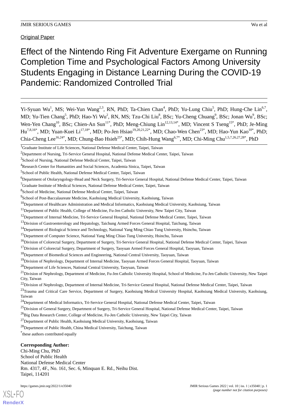Original Paper

# Effect of the Nintendo Ring Fit Adventure Exergame on Running Completion Time and Psychological Factors Among University Students Engaging in Distance Learning During the COVID-19 Pandemic: Randomized Controlled Trial

Yi-Syuan Wu<sup>1</sup>, MS; Wei-Yun Wang<sup>2,3</sup>, RN, PhD; Ta-Chien Chan<sup>4</sup>, PhD; Yu-Lung Chiu<sup>5</sup>, PhD; Hung-Che Lin<sup>6,7</sup>, MD; Yu-Tien Chang<sup>5</sup>, PhD; Hao-Yi Wu<sup>2</sup>, RN, MS; Tzu-Chi Liu<sup>8</sup>, BSc; Yu-Cheng Chuang<sup>9</sup>, BSc; Jonan Wu<sup>9</sup>, BSc; Wen-Yen Chang<sup>10</sup>, BSc; Chien-An Sun<sup>11\*</sup>, PhD; Meng-Chiung Lin<sup>12,13,14\*</sup>, MD; Vincent S Tseng<sup>15\*</sup>, PhD; Je-Ming Hu<sup>7,8,16\*</sup>, MD; Yuan-Kuei Li<sup>17,18\*</sup>, MD; Po-Jen Hsiao<sup>19,20,21,22\*</sup>, MD; Chao-Wen Chen<sup>23\*</sup>, MD; Hao-Yun Kao<sup>10\*</sup>, PhD; Chia-Cheng Lee<sup>16,24\*</sup>, MD; Chung-Bao Hsieh<sup>25\*</sup>, MD; Chih-Hung Wang<sup>6,7\*</sup>, MD; Chi-Ming Chu<sup>1,5,7,26,27,28\*</sup>, PhD

<sup>10</sup>Department of Healthcare Administration and Medical Informatics, Kaohsiung Medical University, Kaohsiung, Taiwan

- <sup>18</sup>Department of Biomedical Sciences and Engineering, National Central University, Taoyuan, Taiwan
- <sup>19</sup>Division of Nephrology, Department of Internal Medicine, Taoyuan Armed Forces General Hospital, Taoyuan, Taiwan
- <sup>20</sup>Department of Life Sciences, National Central University, Taoyuan, Taiwan

<sup>26</sup>Big Data Research Center, College of Medicine, Fu-Jen Catholic University, New Taipei City, Taiwan

<sup>27</sup>Department of Public Health, Kaohsiung Medical University, Kaohsiung, Taiwan

<sup>28</sup>Department of Public Health, China Medical University, Taichung, Taiwan

\* these authors contributed equally

#### **Corresponding Author:**

Chi-Ming Chu, PhD School of Public Health National Defense Medical Center Rm. 4317, 4F., No. 161, Sec. 6, Minquan E. Rd., Neihu Dist. Taipei, 114201

<sup>1</sup>Graduate Institute of Life Sciences, National Defense Medical Center, Taipei, Taiwan

<sup>&</sup>lt;sup>2</sup>Department of Nursing, Tri-Service General Hospital, National Defense Medical Center, Taipei, Taiwan

<sup>&</sup>lt;sup>3</sup>School of Nursing, National Defense Medical Center, Taipei, Taiwan

<sup>4</sup>Research Center for Humanities and Social Sciences, Academia Sinica, Taipei, Taiwan

<sup>5</sup> School of Public Health, National Defense Medical Center, Taipei, Taiwan

<sup>&</sup>lt;sup>6</sup>Department of Otolaryngology-Head and Neck Surgery, Tri-Service General Hospital, National Defense Medical Center, Taipei, Taiwan

 ${}^{7}$ Graduate Institute of Medical Sciences, National Defense Medical Center, Taipei, Taiwan

<sup>8</sup> School of Medicine, National Defense Medical Center, Taipei, Taiwan

<sup>&</sup>lt;sup>9</sup>School of Post-Baccalaureate Medicine, Kaohsiung Medical University, Kaohsiung, Taiwan

<sup>&</sup>lt;sup>11</sup>Department of Public Health, College of Medicine, Fu-Jen Catholic University, New Taipei City, Taiwan

<sup>&</sup>lt;sup>12</sup>Department of Internal Medicine, Tri-Service General Hospital, National Defense Medical Center, Taipei, Taiwan

<sup>&</sup>lt;sup>13</sup>Division of Gastroenterology and Hepatology, Taichung Armed Forces General Hospital, Taichung, Taiwan

<sup>&</sup>lt;sup>14</sup>Department of Biological Science and Technology, National Yang Ming Chiao Tung University, Hsinchu, Taiwan

<sup>&</sup>lt;sup>15</sup>Department of Computer Science, National Yang Ming Chiao Tung University, Hsinchu, Taiwan

<sup>&</sup>lt;sup>16</sup>Division of Colorectal Surgery, Department of Surgery, Tri-Service General Hospital, National Defense Medical Center, Taipei, Taiwan

<sup>&</sup>lt;sup>17</sup>Division of Colorectal Surgery, Department of Surgery, Taoyuan Armed Forces General Hospital, Taoyuan, Taiwan

 $^{21}$ Division of Nephrology, Department of Medicine, Fu-Jen Catholic University Hospital, School of Medicine, Fu-Jen Catholic University, New Taipei City, Taiwan

 $^{22}$ Division of Nephrology, Department of Internal Medicine, Tri-Service General Hospital, National Defense Medical Center, Taipei, Taiwan

<sup>&</sup>lt;sup>23</sup>Trauma and Critical Care Service, Department of Surgery, Kaohsiung Medical University Hospital, Kaohsiung Medical University, Kaohsiung, Taiwan

<sup>&</sup>lt;sup>24</sup>Department of Medical Informatics, Tri-Service General Hospital, National Defense Medical Center, Taipei, Taiwan

<sup>&</sup>lt;sup>25</sup>Division of General Surgery, Department of Surgery, Tri-Service General Hospital, National Defense Medical Center, Taipei, Taiwan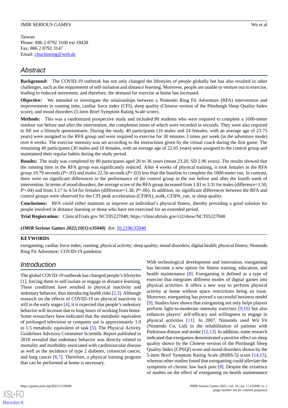# *Abstract*

**Background:** The COVID-19 outbreak has not only changed the lifestyles of people globally but has also resulted in other challenges, such as the requirement of self-isolation and distance learning. Moreover, people are unable to venture out to exercise, leading to reduced movement, and therefore, the demand for exercise at home has increased.

**Objective:** We intended to investigate the relationships between a Nintendo Ring Fit Adventure (RFA) intervention and improvements in running time, cardiac force index (CFI), sleep quality (Chinese version of the Pittsburgh Sleep Quality Index score), and mood disorders (5-item Brief Symptom Rating Scale score).

**Methods:** This was a randomized prospective study and included 80 students who were required to complete a 1600-meter outdoor run before and after the intervention, the completion times of which were recorded in seconds. They were also required to fill out a lifestyle questionnaire. During the study, 40 participants (16 males and 24 females, with an average age of 23.75 years) were assigned to the RFA group and were required to exercise for 30 minutes 3 times per week (in the adventure mode) over 4 weeks. The exercise intensity was set according to the instructions given by the virtual coach during the first game. The remaining 40 participants (30 males and 10 females, with an average age of 22.65 years) were assigned to the control group and maintained their regular habits during the study period.

**Results:** The study was completed by 80 participants aged 20 to 36 years (mean 23.20, SD 2.96 years). The results showed that the running time in the RFA group was significantly reduced. After 4 weeks of physical training, it took females in the RFA group 19.79 seconds (*P*=.03) and males 22.56 seconds (*P*=.03) less than the baseline to complete the 1600-meter run. In contrast, there were no significant differences in the performance of the control group in the run before and after the fourth week of intervention. In terms of mood disorders, the average score of the RFA group increased from 1.81 to 3.31 for males (difference=1.50, *P*=.04) and from 3.17 to 4.54 for females (difference=1.38, *P*=.06). In addition, no significant differences between the RFA and control groups were observed for the CFI peak acceleration (CFIPA)\_walk, CFIPA\_run, or sleep quality.

**Conclusions:** RFA could either maintain or improve an individual's physical fitness, thereby providing a good solution for people involved in distance learning or those who have not exercised for an extended period.

**Trial Registration:** ClinicalTrials.gov NCT05227040; https://clinicaltrials.gov/ct2/show/NCT05227040

*(JMIR Serious Games 2022;10(1):e35040)* doi: [10.2196/35040](http://dx.doi.org/10.2196/35040)

#### **KEYWORDS**

exergaming; cardiac force index; running; physical activity; sleep quality; mood disorders; digital health; physical fitness; Nintendo Ring Fit Adventure; COVID-19 pandemic

# *Introduction*

The global COVID-19 outbreak has changed people's lifestyles [[1\]](#page-10-0), forcing them to self-isolate or engage in distance learning. These conditions have resulted in physical inactivity and sedentary behavior, thus introducing health risks [[2,](#page-10-1)[3\]](#page-10-2). Although research on the effects of COVID-19 on physical inactivity is still in the early stages [[4\]](#page-10-3), it is expected that people's sedentary behavior will increase due to long hours of working from home. Some researchers have indicated that the metabolic equivalent of prolonged television or computer use is approximately 1.0 to 1.5 metabolic equivalent of task [[5\]](#page-10-4). The Physical Activity Guidelines Advisory Committee Scientific Report published in 2018 revealed that sedentary behavior was directly related to mortality and morbidity associated with cardiovascular disease as well as the incidence of type 2 diabetes, colorectal cancer, and lung cancer [\[6](#page-10-5),[7\]](#page-10-6). Therefore, a physical training program that can be performed at home is necessary.

With technological development and innovation, exergaming has become a new option for fitness training, education, and health maintenance [\[8](#page-10-7)]. Exergaming is defined as a type of exercise that integrates different modes of digital games into physical activities. It offers a new way to perform physical activity at home without space restrictions being an issue. Moreover, exergaming has proved a successful business model [[9\]](#page-10-8). Studies have shown that exergaming not only helps players perform light-to-moderate–intensity exercises [[9](#page-10-8)[,10](#page-10-9)] but also enhances players' self-efficacy and willingness to engage in physical activities [\[11](#page-11-0)]. In 2007, Nintendo used Wii Fit (Nintendo Co, Ltd) in the rehabilitation of patients with Parkinson disease and stroke [[12](#page-11-1),[13\]](#page-11-2). In addition, some research indicated that exergames demonstrated a positive effect on sleep quality shown by the Chinese version of the Pittsburgh Sleep Quality Index (CPSQI) score and mood disorders shown by the 5-item Brief Symptom Rating Scale (BSRS-5) score [\[14](#page-11-3),[15\]](#page-11-4), whereas other studies found that exergaming could alleviate the symptoms of chronic low back pain [[8\]](#page-10-7). Despite the existence of studies on the effect of exergaming on health maintenance

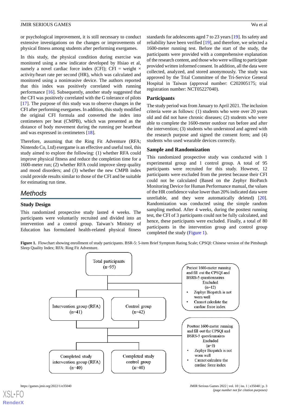or psychological improvement, it is still necessary to conduct extensive investigations on the changes or improvements of physical fitness among students after performing exergames.

In this study, the physical condition during exercise was monitored using a new indicator developed by Hsiao et al, namely a novel cardiac force index (CFI); CFI = weight  $\times$ activity/heart rate per second (HR), which was calculated and monitored using a noninvasive device. The authors reported that this index was positively correlated with running performance [\[16](#page-11-5)]. Subsequently, another study suggested that the CFI was positively correlated with the G tolerance of pilots [[17\]](#page-11-6). The purpose of this study was to observe changes in the CFI after performing exergames. In addition, this study modified the original CFI formula and converted the index into centimeters per beat (CMPB), which was presented as the distance of body movement during the running per heartbeat and was expressed in centimeters [\[18](#page-11-7)].

Therefore, assuming that the Ring Fit Adventure (RFA; Nintendo Co, Ltd) exergame is an effective and useful tool, this study aimed to explore the following: (1) whether RFA could improve physical fitness and reduce the completion time for a 1600-meter run; (2) whether RFA could improve sleep quality and mood disorders; and (3) whether the new CMPB index could provide results similar to those of the CFI and be suitable for estimating run time.

# *Methods*

# **Study Design**

<span id="page-2-0"></span>This randomized prospective study lasted 4 weeks. The participants were voluntarily recruited and divided into an intervention and a control group. Taiwan's Ministry of Education has formulated health-related physical fitness

standards for adolescents aged 7 to 23 years [\[19](#page-11-8)]. Its safety and reliability have been verified [[19\]](#page-11-8), and therefore, we selected a 1600-meter running test. Before the start of the study, the participants were provided with a comprehensive explanation of the research content, and those who were willing to participate provided written informed consent. In addition, all the data were collected, analyzed, and stored anonymously. The study was approved by the Trial Committee of the Tri-Service General Hospital in Taiwan (approval number: C202005175; trial registration number: NCT05227040).

# **Participants**

The study period was from January to April 2021. The inclusion criteria were as follows: (1) students who were over 20 years old and did not have chronic diseases; (2) students who were able to complete the 1600-meter outdoor run before and after the intervention; (3) students who understood and agreed with the research purpose and signed the consent form; and (4) students who used wearable devices correctly.

# **Sample and Randomization**

This randomized prospective study was conducted with 1 experimental group and 1 control group. A total of 95 participants were recruited for this study. However, 12 participants were excluded from the pretest because their CFI could not be calculated (Based on the Zephyr BioPatch Monitoring Device for Human Performance manual, the values of the HR confidence value lower than 20% indicated data were unreliable, and they were automatically deleted) [[20\]](#page-11-9). Randomization was conducted using the simple random sampling method. After 4 weeks, during the posttest running test, the CFI of 3 participants could not be fully calculated, and hence, these participants were excluded. Finally, a total of 80 participants in the intervention group and control group completed the study [\(Figure 1\)](#page-2-0).

**Figure 1.** Flowchart showing enrollment of study participants. BSR-5: 5-item Brief Symptom Rating Scale; CPSQI: Chinese version of the Pittsburgh Sleep Quality Index; RFA: Ring Fit Adventure.

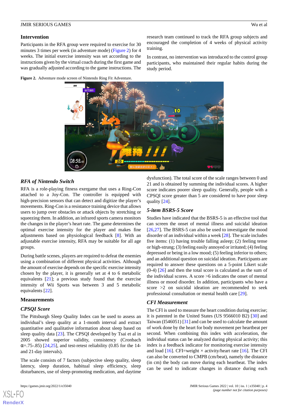#### **Intervention**

Participants in the RFA group were required to exercise for 30 minutes 3 times per week (in adventure mode) [\(Figure 2\)](#page-3-0) for 4 weeks. The initial exercise intensity was set according to the instructions given by the virtual coach during the first game and was gradually adjusted according to the game instructions. The

<span id="page-3-0"></span>**Figure 2.** Adventure mode screen of Nintendo Ring Fit Adventure.



training.

study period.

# *RFA of Nintendo Switch*

RFA is a role-playing fitness exergame that uses a Ring-Con attached to a Joy-Con. The controller is equipped with high-precision sensors that can detect and digitize the player's movements. Ring-Con is a resistance training device that allows users to jump over obstacles or attack objects by stretching or squeezing them. In addition, an infrared sports camera monitors the changes in the player's heart rate. The game determines the optimal exercise intensity for the player and makes fine adjustments based on physiological feedback [[8\]](#page-10-7). With an adjustable exercise intensity, RFA may be suitable for all age groups.

During battle scenes, players are required to defeat the enemies using a combination of different physical activities. Although the amount of exercise depends on the specific exercise intensity chosen by the player, it is generally set at 4 to 6 metabolic equivalents [\[21](#page-11-10)]; a previous study found that the exercise intensity of Wii Sports was between 3 and 5 metabolic equivalents [\[22](#page-11-11)].

#### **Measurements**

#### *CPSQI Score*

The Pittsburgh Sleep Quality Index can be used to assess an individual's sleep quality at a 1-month interval and extract quantitative and qualitative information about sleep based on sleep quality data [\[23](#page-11-12)]. The CPSQI developed by Tsai et al in 2005 showed superior validity, consistency (Cronbach  $\alpha$ =.75-.85) [\[24](#page-11-13),[25\]](#page-11-14), and test-retest reliability (0.85 for the 14and 21-day intervals).

The scale consists of 7 factors (subjective sleep quality, sleep latency, sleep duration, habitual sleep efficiency, sleep disturbances, use of sleep-promoting medication, and daytime

[XSL](http://www.w3.org/Style/XSL)•FO **[RenderX](http://www.renderx.com/)**

dysfunction). The total score of the scale ranges between 0 and 21 and is obtained by summing the individual scores. A higher score indicates poorer sleep quality. Generally, people with a CPSQI score greater than 5 are considered to have poor sleep quality [\[24](#page-11-13)].

research team continued to track the RFA group subjects and encouraged the completion of 4 weeks of physical activity

In contrast, no intervention was introduced to the control group participants, who maintained their regular habits during the

#### *5-item BSRS-5 Score*

Studies have indicated that the BSRS-5 is an effective tool that can screen the onset of mental illness and suicidal ideation [[26,](#page-11-15)[27\]](#page-11-16). The BSRS-5 can also be used to investigate the mood disorder of an individual within a week [\[28](#page-11-17)]. The scale includes five items: (1) having trouble falling asleep; (2) feeling tense or high-strung; (3) feeling easily annoyed or irritated; (4) feeling depressed or being in a low mood; (5) feeling inferior to others; and an additional question on suicidal ideation. Participants are required to answer these questions on a 5-point Likert scale  $(0-4)$  [\[26](#page-11-15)] and then the total score is calculated as the sum of the individual scores. A score >6 indicates the onset of mental illness or mood disorder. In addition, participants who have a score >2 on suicidal ideation are recommended to seek professional consultation or mental health care [\[29](#page-11-18)].

#### *CFI Measurement*

The CFI is used to measure the heart condition during exercise; it is patented in the United States (US 9566010 B2) [[30\]](#page-11-19) and Taiwan (I546051) [\[31](#page-11-20)] and can be used to calculate the amount of work done by the heart for body movement per heartbeat per second. When combining this index with acceleration, the individual status can be analyzed during physical activity; this index is a feedback indicator for monitoring exercise intensity and load [\[16](#page-11-5)]. CFI=weight  $\times$  activity/heart rate [[16\]](#page-11-5). The CFI can also be converted to CMPB (cm/beat), namely the distance (in cm) the body can move during each heartbeat. The index can be used to indicate changes in distance during each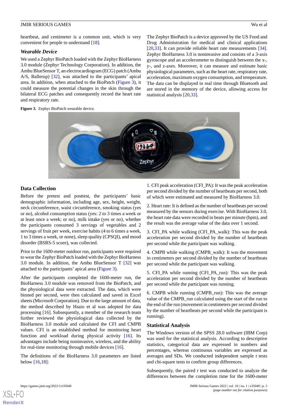heartbeat, and centimeter is a common unit, which is very convenient for people to understand [[18\]](#page-11-7).

#### *Wearable Device*

We used a Zephyr BioPatch loaded with the Zephyr BioHarness 3.0 module (Zephyr Technology Corporation). In addition, the Ambu BlueSensor T, an electrocardiogram (ECG) patch (Ambu A/S, Ballerup) [[32\]](#page-11-21), was attached to the participants' apical area. In addition, when attached to the BioPatch [\(Figure 3](#page-4-0)), it could measure the potential changes in the skin through the bilateral ECG patches and consequently record the heart rate and respiratory rate.

The Zephyr BioPatch is a device approved by the US Food and Drug Administration for medical and clinical applications [[20,](#page-11-9)[33\]](#page-12-0). It can provide reliable heart rate measurements [[34\]](#page-12-1). Zephyr BioHarness 3.0 is noninvasive and consists of a 3-axis gyroscope and an accelerometer to distinguish between the x-, y-, and z-axes. Moreover, it can measure and estimate basic physiological parameters, such as the heart rate, respiratory rate, acceleration, maximum oxygen consumption, and temperature. The data can be displayed in real time through Bluetooth and are stored in the memory of the device, allowing access for statistical analysis [[20](#page-11-9)[,33](#page-12-0)].

<span id="page-4-0"></span>

#### **Data Collection**

Before the pretest and posttest, the participants' basic demographic information, including age, sex, height, weight, neck circumference, waist circumference, smoking status (yes or no), alcohol consumption status (yes: 2 to 3 times a week or at least once a week; or no), milk intake (yes or no), whether the participants consumed 3 servings of vegetables and 2 servings of fruit per week, exercise habits (4 to 6 times a week, 1 to 3 times a week, or none), sleep quality (CPSQI), and mood disorder (BSRS-5 score), was collected.

Prior to the 1600-meter outdoor run, participants were required to wear the Zephyr BioPatch loaded with the Zephyr BioHarness 3.0 module. In addition, the Ambu BlueSensor T [\[32](#page-11-21)] was attached to the participants' apical area ([Figure 3\)](#page-4-0).

After the participants completed the 1600-meter run, the BioHarness 3.0 module was removed from the BioPatch, and the physiological data were extracted. The data, which were binned per second, were then calculated and saved in Excel sheets (Microsoft Corporation). Due to the large amount of data, the method described by Hsaio et al was adopted for data processing [\[16](#page-11-5)]. Subsequently, a member of the research team further reviewed the physiological data collected by the BioHarness 3.0 module and calculated the CFI and CMPB values. CFI is an established method for monitoring heart function and workload during physical activity [\[16](#page-11-5)]. Its advantages include being noninvasive, wireless, and the ability for real-time monitoring through mobile devices [[16\]](#page-11-5).

The definitions of the BioHarness 3.0 parameters are listed below [\[16](#page-11-5)[,18](#page-11-7)]:

1. CFI peak acceleration (CFI\_PA): It was the peak acceleration per second divided by the number of heartbeats per second, both of which were estimated and measured by BioHarness 3.0.

2. Heart rate: It is defined as the number of heartbeats per second measured by the sensors during exercise. With BioHarness 3.0, the heart rate data were recorded in beats per minute (bpm), and the result was the average value of the data over 1 second.

3. CFI\_PA while walking (CFI\_PA\_walk): This was the peak acceleration per second divided by the number of heartbeats per second while the participant was walking.

4. CMPB while walking (CMPB\_walk): It was the movement in centimeters per second divided by the number of heartbeats per second while the participant was walking.

5. CFI\_PA while running (CFI\_PA\_run): This was the peak acceleration per second divided by the number of heartbeats per second while the participant was running.

6. CMPB while running (CMPB\_run): This was the average value of the CMPB\_run calculated using the start of the run to the end of the run (movement in centimeters per second divided by the number of heartbeats per second while the participant is running).

#### **Statistical Analysis**

The Windows version of the SPSS 28.0 software (IBM Corp) was used for the statistical analysis. According to descriptive statistics, categorical data are expressed in numbers and percentages, whereas continuous variables are expressed as averages and SDs. We conducted independent sample *t* tests and chi-square tests to confirm group differences.

Subsequently, the paired *t* test was conducted to analyze the differences between the completion time for the 1600-meter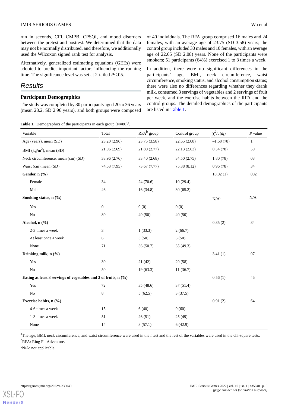run in seconds, CFI, CMPB, CPSQI, and mood disorders between the pretest and posttest. We determined that the data may not be normally distributed, and therefore, we additionally used the Wilcoxon signed rank test for analysis.

Alternatively, generalized estimating equations (GEEs) were adopted to predict important factors influencing the running time. The significance level was set at 2-tailed *P*<.05.

# *Results*

# **Participant Demographics**

<span id="page-5-0"></span>The study was completed by 80 participants aged 20 to 36 years (mean 23.2, SD 2.96 years), and both groups were composed

**Table 1.** Demographics of the participants in each group  $(N=80)^{a}$ .

of 40 individuals. The RFA group comprised 16 males and 24 females, with an average age of 23.75 (SD 3.58) years; the control group included 30 males and 10 females, with an average age of 22.65 (SD 2.08) years. None of the participants were smokers; 51 participants (64%) exercised 1 to 3 times a week.

In addition, there were no significant differences in the participants' age, BMI, neck circumference, waist circumference, smoking status, and alcohol consumption status; there were also no differences regarding whether they drank milk, consumed 3 servings of vegetables and 2 servings of fruit per week, and the exercise habits between the RFA and the control groups. The detailed demographics of the participants are listed in [Table 1](#page-5-0).

| Variable                                                        | Total            | $RFA^b$ group | Control group | $\chi^2$ /t (df) | $P$ value |
|-----------------------------------------------------------------|------------------|---------------|---------------|------------------|-----------|
| Age (years), mean (SD)                                          | 23.20 (2.96)     | 23.75 (3.58)  | 22.65(2.08)   | $-1.68(78)$      | $\cdot$   |
| BMI ( $\text{kg/m}^2$ ), mean (SD)                              | 21.96 (2.69)     | 21.80 (2.77)  | 22.13(2.63)   | 0.54(78)         | .59       |
| Neck circumference, mean (cm) (SD)                              | 33.96 (2.76)     | 33.40 (2.68)  | 34.50 (2.75)  | 1.80(78)         | .08       |
| Waist (cm) mean (SD)                                            | 74.53 (7.95)     | 73.67 (7.77)  | 75.38 (8.12)  | 0.96(78)         | .34       |
| Gender, n (%)                                                   |                  |               |               | 10.02(1)         | .002      |
| Female                                                          | 34               | 24(70.6)      | 10(29.4)      |                  |           |
| Male                                                            | 46               | 16(34.8)      | 30(65.2)      |                  |           |
| Smoking status, n (%)                                           |                  |               |               | $N/A^c$          | $\rm N/A$ |
| Yes                                                             | $\boldsymbol{0}$ | 0(0)          | 0(0)          |                  |           |
| $\rm No$                                                        | 80               | 40(50)        | 40(50)        |                  |           |
| Alcohol, n (%)                                                  |                  |               |               | 0.35(2)          | .84       |
| 2-3 times a week                                                | 3                | 1(33.3)       | 2(66.7)       |                  |           |
| At least once a week                                            | 6                | 3(50)         | 3(50)         |                  |           |
| None                                                            | 71               | 36(50.7)      | 35(49.3)      |                  |           |
| Drinking milk, n (%)                                            |                  |               |               | 3.41(1)          | .07       |
| Yes                                                             | 30               | 21(42)        | 29(58)        |                  |           |
| N <sub>o</sub>                                                  | 50               | 19(63.3)      | 11(36.7)      |                  |           |
| Eating at least 3 servings of vegetables and 2 of fruits, n (%) |                  |               |               | 0.56(1)          | .46       |
| Yes                                                             | 72               | 35(48.6)      | 37(51.4)      |                  |           |
| No                                                              | $\,8$            | 5(62.5)       | 3(37.5)       |                  |           |
| Exercise habits, n (%)                                          |                  |               |               | 0.91(2)          | .64       |
| 4-6 times a week                                                | 15               | 6(40)         | 9(60)         |                  |           |
| 1-3 times a week                                                | 51               | 26(51)        | 25(49)        |                  |           |
| None                                                            | 14               | 8(57.1)       | 6(42.9)       |                  |           |

<sup>a</sup>The age, BMI, neck circumference, and waist circumference were used in the *t* test and the rest of the variables were used in the chi-square tests. <sup>b</sup>RFA: Ring Fit Adventure.

 $\rm^cN/A$ : not applicable.

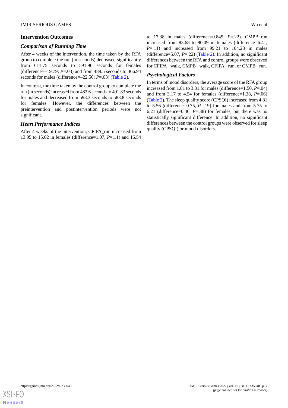#### **Intervention Outcomes**

#### *Comparison of Running Time*

After 4 weeks of the intervention, the time taken by the RFA group to complete the run (in seconds) decreased significantly from 611.75 seconds to 591.96 seconds for females (difference=–19.79; *P*=.03) and from 489.5 seconds to 466.94 seconds for males (difference=–22.56; *P*=.03) [\(Table 2\)](#page-7-0).

In contrast, the time taken by the control group to complete the run (in seconds) increased from 483.6 seconds to 491.83 seconds for males and decreased from 598.3 seconds to 583.8 seconds for females. However, the differences between the preintervention and postintervention periods were not significant.

#### *Heart Performance Indices*

After 4 weeks of the intervention, CFIPA\_run increased from 13.95 to 15.02 in females (difference=1.07, *P*=.11) and 16.54 to 17.38 in males (difference= $0.845$ ,  $P = .22$ ). CMPB run increased from 83.68 to 90.09 in females (difference=6.41,  $P=11$ ) and increased from 99.21 to 104.28 in males (difference=5.07, *P*=.22) ([Table 2\)](#page-7-0). In addition, no significant differences between the RFA and control groups were observed for CFIPA\_ walk, CMPB\_ walk, CFIPA\_ run, or CMPB\_ run.

#### *Psychological Factors*

In terms of mood disorders, the average score of the RFA group increased from 1.81 to 3.31 for males (difference=1.50, *P*=.04) and from 3.17 to 4.54 for females (difference=1.38, *P*=.06) ([Table 2\)](#page-7-0). The sleep quality score (CPSQI) increased from 4.81 to 5.56 (difference=0.75, *P*=.19) for males and from 5.75 to 6.21 (difference=0.46, *P*=.38) for females, but there was no statistically significant difference. In addition, no significant differences between the control groups were observed for sleep quality (CPSQI) or mood disorders.

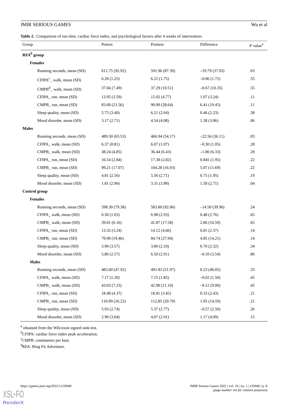## <span id="page-7-0"></span>**Table 2.** Comparison of run time, cardiac force index, and psychological factors after 4 weeks of intervention.

| Group                      | Pretest        | Posttest       | Difference      | $P$ value <sup>a</sup> |
|----------------------------|----------------|----------------|-----------------|------------------------|
| $RFA^b$ group              |                |                |                 |                        |
| <b>Females</b>             |                |                |                 |                        |
| Running seconds, mean (SD) | 611.75 (92.92) | 591.96 (87.39) | $-19.79(37.93)$ | .03                    |
| $CFIPA^c_$ walk, mean (SD) | 6.28(1.25)     | 6.22(1.75)     | $-0.06(1.72)$   | .55                    |
| $CMPBd$ walk, mean (SD)    | 37.66 (7.49)   | 37.29 (10.51)  | $-0.67(10.35)$  | .55                    |
| CFIPA_run, mean (SD)       | 13.95(3.59)    | 15.02(4.77)    | 1.07(3.24)      | .11                    |
| CMPB_run, mean (SD)        | 83.68 (21.56)  | 90.09 (28.64)  | 6.41(19.45)     | .11                    |
| Sleep quality, mean (SD)   | 5.75 (3.40)    | 6.21(2.64)     | 0.46(2.23)      | .38                    |
| Mood disorder, mean (SD)   | 3.17(2.71)     | 4.54(4.08)     | 1.38(3.06)      | .06                    |
| <b>Males</b>               |                |                |                 |                        |
| Running seconds, mean (SD) | 489.50 (65.53) | 466.94 (54.17) | $-22.56(36.11)$ | .03                    |
| CFIPA_walk, mean (SD)      | 6.37(0.81)     | 6.07(1.07)     | $-0.30(1.05)$   | .28                    |
| CMPB_walk, mean (SD)       | 38.24 (4.85)   | 36.44(6.43)    | $-1.80(6.33)$   | .28                    |
| CFIPA_run, mean (SD)       | 16.54(2.84)    | 17.38 (2.82)   | 0.845(1.95)     | .22                    |
| CMPB_run, mean (SD)        | 99.21 (17.07)  | 104.28 (16.93) | 5.07(11.69)     | .22                    |
| Sleep quality, mean (SD)   | 4.81(2.56)     | 5.56(2.71)     | 0.75(1.95)      | .19                    |
| Mood disorder, mean (SD)   | 1.81(2.90)     | 3.31 (3.98)    | 1.50(2.71)      | .04                    |
| Control group              |                |                |                 |                        |
| <b>Females</b>             |                |                |                 |                        |
| Running seconds, mean (SD) | 598.30 (79.38) | 583.80 (92.06) | $-14.50(39.96)$ | .24                    |
| CFIPA_walk, mean (SD)      | 6.50(1.03)     | 6.98(2.93)     | 0.48(2.76)      | .65                    |
| CMPB_walk, mean (SD)       | 39.01 (6.16)   | 41.87 (17.58)  | 2.86(16.59)     | .65                    |
| CFIPA_run, mean (SD)       | 13.32 (3.24)   | 14.12(4.66)    | 0.81(2.37)      | .14                    |
| CMPB_run, mean (SD)        | 79.90 (19.46)  | 84.74 (27.94)  | 4.85(14.21)     | .14                    |
| Sleep quality, mean (SD)   | 3.90(3.57)     | 3.80(2.10)     | 0.70(2.32)      | .34                    |
| Mood disorder, mean (SD)   | 5.80(2.57)     | 6.50(2.91)     | $-0.10(3.54)$   | .86                    |
| <b>Males</b>               |                |                |                 |                        |
| Running seconds, mean (SD) | 483.60 (47.92) | 491.83 (51.97) | 8.23 (40.05)    | .33                    |
| CFIPA walk, mean (SD)      | 7.17(1.20)     | 7.15(1.85)     | $-0.02(1.50)$   | .45                    |
| CMPB walk, mean (SD)       | 43.03 (7.23)   | 42.90 (11.10)  | $-0.12(9.00)$   | .45                    |
| CFIPA_run, mean (SD)       | 18.48 (4.37)   | 18.81 (3.45)   | 0.33(2.43)      | .21                    |
| CMPB_run, mean (SD)        | 110.89 (26.22) | 112.85 (20.70) | 1.95(14.59)     | .21                    |
| Sleep quality, mean (SD)   | 5.93(2.74)     | 5.37(2.77)     | $-0.57(2.50)$   | .26                    |
| Mood disorder, mean (SD)   | 2.90(3.04)     | 4.07(2.91)     | 1.17(4.09)      | .15                    |

<sup>a</sup> obtained from the Wilcoxon signed rank test.

b<sub>CFIPA</sub>: cardiac force index peak acceleration.

<sup>c</sup>CMPB: centimeters per beat.

<sup>d</sup>RFA: Ring Fit Adventure.

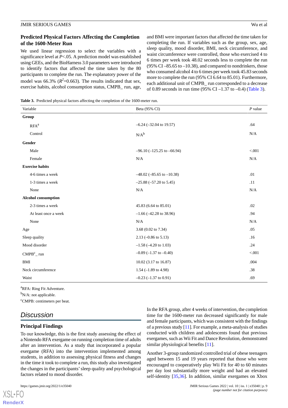# **Predicted Physical Factors Affecting the Completion of the 1600-Meter Run**

We used linear regression to select the variables with a significance level at *P*<.05. A prediction model was established using GEEs, and the BioHarness 3.0 parameters were introduced to identify factors that affected the time taken by the 80 participants to complete the run. The explanatory power of the model was 66.3%  $(R^2=0.663)$ . The results indicated that sex, exercise habits, alcohol consumption status, CMPB\_ run, age,

and BMI were important factors that affected the time taken for completing the run. If variables such as the group, sex, age, sleep quality, mood disorder, BMI, neck circumference, and waist circumference were controlled, those who exercised 4 to 6 times per week took 48.02 seconds less to complete the run (95% CI $-85.65$  to  $-10.38$ ), and compared to nondrinkers, those who consumed alcohol 4 to 6 times per week took 45.83 seconds more to complete the run (95% CI 6.64 to 85.01). Furthermore, each additional unit of CMPB\_ run corresponded to a decrease of 0.89 seconds in run time (95% CI –1.37 to –0.4) ([Table 3](#page-8-0)).

<span id="page-8-0"></span>**Table 3.** Predicted physical factors affecting the completion of the 1600-meter run.

| Variable                   | Beta (95% CI)                      | $P$ value |
|----------------------------|------------------------------------|-----------|
| Group                      |                                    |           |
| $RFA^a$                    | $-6.24$ ( $-32.04$ to 19.57)       | .64       |
| Control                    | $N/A^b$                            | N/A       |
| Gender                     |                                    |           |
| Male                       | $-96.10$ ( $-125.25$ to $-66.94$ ) | < .001    |
| Female                     | N/A                                | N/A       |
| <b>Exercise habits</b>     |                                    |           |
| 4-6 times a week           | $-48.02$ ( $-85.65$ to $-10.38$ )  | .01       |
| 1-3 times a week           | $-25.88$ $(-57.20$ to 5.45)        | .11       |
| None                       | N/A                                | $\rm N/A$ |
| <b>Alcohol consumption</b> |                                    |           |
| 2-3 times a week           | 45.83 (6.64 to 85.01)              | .02       |
| At least once a week       | $-1.66$ ( $-42.28$ to 38.96)       | .94       |
| None                       | $\rm N/A$                          | $\rm N/A$ |
| Age                        | 3.68 (0.02 to 7.34)                | .05       |
| Sleep quality              | $2.13 (-0.86 \text{ to } 5.13)$    | .16       |
| Mood disorder              | $-1.58$ ( $-4.20$ to 1.03)         | .24       |
| $CMPBc$ _run               | $-0.89$ ( $-1.37$ to $-0.40$ )     | < 0.001   |
| BMI                        | 10.02 (3.17 to 16.87)              | .004      |
| Neck circumference         | 1.54 $(-1.89$ to 4.98)             | .38       |
| Waist                      | $-0.23$ ( $-1.37$ to 0.91)         | .69       |

<sup>a</sup>RFA: Ring Fit Adventure.

 $b_{N/A}$ : not applicable.

<sup>c</sup>CMPB: centimeters per beat.

# *Discussion*

# **Principal Findings**

To our knowledge, this is the first study assessing the effect of a Nintendo RFA exergame on running completion time of adults after an intervention. As a study that incorporated a popular exergame (RFA) into the intervention implemented among students, in addition to assessing physical fitness and changes in the time it took to complete a run, this study also investigated the changes in the participants'sleep quality and psychological factors related to mood disorder.

[XSL](http://www.w3.org/Style/XSL)•FO **[RenderX](http://www.renderx.com/)**

In the RFA group, after 4 weeks of intervention, the completion time for the 1600-meter run decreased significantly for male and female participants, which was consistent with the findings of a previous study [\[11](#page-11-0)]. For example, a meta-analysis of studies conducted with children and adolescents found that previous exergames, such as Wii Fit and Dance Revolution, demonstrated similar physiological benefits [[11\]](#page-11-0).

Another 3-group randomized controlled trial of obese teenagers aged between 15 and 19 years reported that those who were encouraged to cooperatively play Wii Fit for 40 to 60 minutes per day lost substantially more weight and had an elevated self-identity [[35,](#page-12-2)[36](#page-12-3)]. In addition, similar exergames on Xbox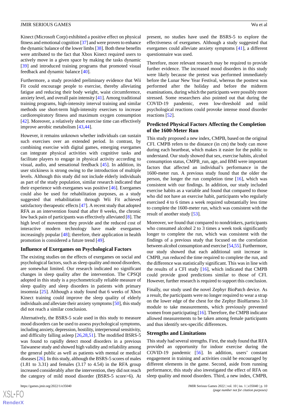Kinect (Microsoft Corp) exhibited a positive effect on physical fitness and emotional cognition [\[37\]](#page-12-4) and were proven to enhance the dynamic balance of the lower limbs [[38\]](#page-12-5). Both these benefits were attributed to the fact that Xbox Kinect required users to actively move in a given space by making the tasks dynamic [[39\]](#page-12-6) and introduced training programs that promoted visual feedback and dynamic balance [\[40](#page-12-7)].

Furthermore, a study provided preliminary evidence that Wii Fit could encourage people to exercise, thereby alleviating fatigue and reducing their body weight, waist circumference, anxiety level, and overall pain intensity [\[41](#page-12-8)]. Among traditional training programs, high-intensity interval training and similar methods use short-term high-intensity exercises to increase cardiorespiratory fitness and maximum oxygen consumption [[42\]](#page-12-9). Moreover, a relatively short exercise time can effectively improve aerobic metabolism [\[43](#page-12-10),[44\]](#page-12-11).

However, it remains unknown whether individuals can sustain such exercises over an extended period. In contrast, by combining exercise with digital games, emerging exergames can integrate physical activities with cognitive tasks and facilitate players to engage in physical activity according to visual, audio, and sensational feedback [\[45](#page-12-12)]. In addition, its user stickiness is strong owing to the introduction of multiple levels. Although this study did not include elderly individuals as part of the study population, similar research indicated that their experience with exergames was positive [\[46](#page-12-13)]. Exergames could also be used for rehabilitation purposes, as a study suggested that rehabilitation through Wii Fit achieved satisfactory therapeutic effects [\[47](#page-12-14)]. A recent study that adopted RFA as an intervention found that after 8 weeks, the chronic low back pain of participants was effectively alleviated [\[8](#page-10-7)]. The high level of movement they provide and the reduced cost of interactive modern technology have made exergames increasingly popular [\[48](#page-12-15)]; therefore, their application in health promotion is considered a future trend [\[49](#page-12-16)].

#### **Influence of Exergames on Psychological Factors**

The existing studies on the effects of exergames on social and psychological factors, such as sleep quality and mood disorders, are somewhat limited. Our research indicated no significant changes in sleep quality after the intervention. The CPSQI adopted in this study is a psychometrically reliable measure of sleep quality and sleep disorders in patients with primary insomnia [[25\]](#page-11-14). Although a study found that 6 weeks of Xbox Kinect training could improve the sleep quality of elderly individuals and alleviate their anxiety symptoms [\[50](#page-12-17)], this study did not reach a similar conclusion.

Alternatively, the BSRS-5 scale used in this study to measure mood disorders can be used to assess psychological symptoms, including anxiety, depression, hostility, interpersonal sensitivity, and difficulty falling asleep [[26,](#page-11-15)[28](#page-11-17),[51\]](#page-12-18). The modified BSRS-5 was found to rapidly detect mood disorders in a previous Taiwanese study and showed high validity and reliability among the general public as well as patients with mental or medical diseases [[26\]](#page-11-15). In this study, although the BSRS-5 scores of males (1.81 to 3.31) and females (3.17 to 4.54) in the RFA group increased considerably after the intervention, they did not reach the category of mild mood disorder (BSRS-5 score>6). At

present, no studies have used the BSRS-5 to explore the effectiveness of exergames. Although a study suggested that exergames could alleviate anxiety symptoms [[41\]](#page-12-8), a different questionnaire was used.

Therefore, more relevant research may be required to provide further evidence. The increased mood disorders in this study were likely because the pretest was performed immediately before the Lunar New Year Festival, whereas the posttest was performed after the holiday and before the midterm examinations, during which the participants were possibly more stressed. Some researchers also pointed out that during the COVID-19 pandemic, even low-threshold and mild psychological reactions could provoke intense mood disorder reactions [[52\]](#page-12-19).

### **Predicted Physical Factors Affecting the Completion of the 1600-Meter Run**

This study proposed a new index, CMPB, based on the original CFI. CMPB refers to the distance (in cm) the body can move during each heartbeat, which makes it easier for the public to understand. Our study showed that sex, exercise habits, alcohol consumption status, CMPB\_run, age, and BMI were important factors that affected an individual's performance in the 1600-meter run. A previous study found that the older the person, the longer the run completion time  $[16]$  $[16]$ , which was consistent with our findings. In addition, our study included exercise habits as a variable and found that compared to those who did not have an exercise habit, participants who regularly exercised 4 to 6 times a week required substantially less time to complete the 1600-meter run, which was consistent with the result of another study [\[53](#page-12-20)].

Moreover, we found that compared to nondrinkers, participants who consumed alcohol 2 to 3 times a week took significantly longer to complete the run, which was consistent with the findings of a previous study that focused on the correlation between alcohol consumption and exercise [\[54](#page-12-21),[55](#page-12-22)]. Furthermore, our study showed that each additional unit increase in CMPB\_run reduced the time required to complete the run, and the difference was statistically significant. This was in line with the results of a CFI study  $[16]$  $[16]$ , which indicated that CMPB could provide good predictions similar to those of CFI. However, further research is required to support this conclusion.

Finally, our study used the novel Zephyr BioPatch device. As a result, the participants were no longer required to wear a strap on the lower edge of the chest for the Zephyr BioHarness 3.0 module to take measurements, which previously prevented women from participating [[16\]](#page-11-5). Therefore, the CMPB indicator allowed measurements to be taken among female participants and thus identify sex-specific differences.

#### **Strengths and Limitations**

This study had several strengths. First, the study found that RFA provided an opportunity for indoor exercise during the COVID-19 pandemic [[56\]](#page-13-0). In addition, users' constant engagement in training and activities could be encouraged by different elements in the game. Second, aside from running performance, this study also investigated the effect of RFA on sleep quality and mood disorders. Third, a new index, CMPB,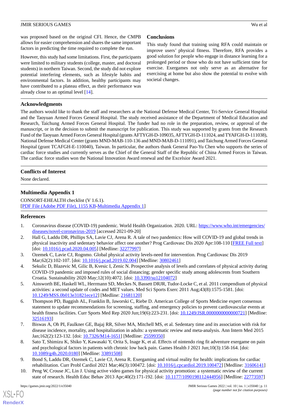was proposed based on the original CFI. Hence, the CMPB allows for easier comprehension and shares the same important factors in predicting the time required to complete the run.

However, this study had some limitations. First, the participants were limited to military students (college, master, and doctoral students) in northern Taiwan. Second, the study did not explore potential interfering elements, such as lifestyle habits and environmental factors. In addition, healthy participants may have contributed to a plateau effect, as their performance was already close to an optimal level [[14\]](#page-11-3).

# **Conclusions**

This study found that training using RFA could maintain or improve users' physical fitness. Therefore, RFA provides a good solution for people who engage in distance learning for a prolonged period or those who do not have sufficient time for exercise. Exergames not only serve as an alternative for exercising at home but also show the potential to evolve with societal changes.

# **Acknowledgments**

The authors would like to thank the staff and researchers at the National Defense Medical Center, Tri-Service General Hospital and the Taoyuan Armed Forces General Hospital. The study received assistance of the Department of Medical Education and Research, Taichung Armed Forces General Hospital. The funder had no role in the preparation, review, or approval of the manuscript, or in the decision to submit the manuscript for publication. This study was supported by grants from the Research Fund of the Taoyuan Armed Forces General Hospital (grants AFTYGH-D-109035, AFTYGH-D-111024, and TYAFGH-D-111038), National Defense Medical Center (grants MND-MAB-110-136 and MND-MAB-D-111091), and Taichung Armed Forces General Hospital (grant TCAFGH-E-110040), Taiwan. In particular, the authors thank General Pao-Yu Chen who supports the series of cardiac force studies and currently serves as the Chief of the General Staff of the Republic of China Armed Forces in Taiwan. The cardiac force studies won the National Innovation Award renewal and the Excelsior Award 2021.

# **Conflicts of Interest**

None declared.

# **Multimedia Appendix 1**

<span id="page-10-0"></span>CONSORT-EHEALTH checklist (V 1.6.1). [[PDF File \(Adobe PDF File\), 1155 KB](https://jmir.org/api/download?alt_name=games_v10i1e35040_app1.pdf&filename=1f6ea1e4377da8f70498cc9e635609ec.pdf)-[Multimedia Appendix 1\]](https://jmir.org/api/download?alt_name=games_v10i1e35040_app1.pdf&filename=1f6ea1e4377da8f70498cc9e635609ec.pdf)

# <span id="page-10-1"></span>**References**

- <span id="page-10-2"></span>1. Coronavirus disease (COVID-19) pandemic. World Health Organization. 2020. URL: [https://www.who.int/emergencies/](https://www.who.int/emergencies/diseases/novel-coronavirus-2019) [diseases/novel-coronavirus-2019](https://www.who.int/emergencies/diseases/novel-coronavirus-2019) [accessed 2021-09-20]
- <span id="page-10-3"></span>2. Hall G, Laddu DR, Phillips SA, Lavie CJ, Arena R. A tale of two pandemics: How will COVID-19 and global trends in physical inactivity and sedentary behavior affect one another? Prog Cardiovasc Dis 2020 Apr:108-110 [\[FREE Full text\]](http://europepmc.org/abstract/MED/32277997) [doi: 10.1016/*i.pcad.2020.04.005*] [Medline: [32277997\]](http://www.ncbi.nlm.nih.gov/entrez/query.fcgi?cmd=Retrieve&db=PubMed&list_uids=32277997&dopt=Abstract)
- <span id="page-10-4"></span>3. Ozemek C, Lavie CJ, Rognmo. Global physical activity levels-need for intervention. Prog Cardiovasc Dis 2019 Mar;62(2):102-107. [doi: [10.1016/j.pcad.2019.02.004](http://dx.doi.org/10.1016/j.pcad.2019.02.004)] [Medline: [30802461\]](http://www.ncbi.nlm.nih.gov/entrez/query.fcgi?cmd=Retrieve&db=PubMed&list_uids=30802461&dopt=Abstract)
- <span id="page-10-5"></span>4. Sekulic D, Blazevic M, Gilic B, Kvesic I, Zenic N. Prospective analysis of levels and correlates of physical activity during COVID-19 pandemic and imposed rules of social distancing; gender specific study among adolescents from Southern Croatia. Sustainability 2020 May;12(10):4072. [doi: [10.3390/su12104072](http://dx.doi.org/10.3390/su12104072)]
- <span id="page-10-6"></span>5. Ainsworth BE, Haskell WL, Herrmann SD, Meckes N, Bassett DRJR, Tudor-Locke C, et al. 2011 compendium of physical activities: a second update of codes and MET values. Med Sci Sports Exerc 2011 Aug;43(8):1575-1581. [doi: [10.1249/MSS.0b013e31821ece12](http://dx.doi.org/10.1249/MSS.0b013e31821ece12)] [Medline: [21681120\]](http://www.ncbi.nlm.nih.gov/entrez/query.fcgi?cmd=Retrieve&db=PubMed&list_uids=21681120&dopt=Abstract)
- <span id="page-10-7"></span>6. Thompson PD, Baggish AL, Franklin B, Jaworski C, Riebe D. American College of Sports Medicine expert consensus statement to update recommendations for screening, staffing, and emergency policies to prevent cardiovascular events at health fitness facilities. Curr Sports Med Rep 2020 Jun;19(6):223-231. [doi: [10.1249/JSR.0000000000000721\]](http://dx.doi.org/10.1249/JSR.0000000000000721) [Medline: [32516193](http://www.ncbi.nlm.nih.gov/entrez/query.fcgi?cmd=Retrieve&db=PubMed&list_uids=32516193&dopt=Abstract)]
- <span id="page-10-8"></span>7. Biswas A, Oh PI, Faulkner GE, Bajaj RR, Silver MA, Mitchell MS, et al. Sedentary time and its association with risk for disease incidence, mortality, and hospitalization in adults: a systematic review and meta-analysis. Ann Intern Med 2015 Jan;162(2):123-132. [doi: [10.7326/M14-1651](http://dx.doi.org/10.7326/M14-1651)] [Medline: [25599350](http://www.ncbi.nlm.nih.gov/entrez/query.fcgi?cmd=Retrieve&db=PubMed&list_uids=25599350&dopt=Abstract)]
- <span id="page-10-9"></span>8. Sato T, Shimizu K, Shiko Y, Kawasaki Y, Orita S, Inage K, et al. Effects of nintendo ring fit adventure exergame on pain and psychological factors in patients with chronic low back pain. Games Health J 2021 Jun;10(3):158-164. [doi: [10.1089/g4h.2020.0180\]](http://dx.doi.org/10.1089/g4h.2020.0180) [Medline: [33891508\]](http://www.ncbi.nlm.nih.gov/entrez/query.fcgi?cmd=Retrieve&db=PubMed&list_uids=33891508&dopt=Abstract)
- 9. Bond S, Laddu DR, Ozemek C, Lavie CJ, Arena R. Exergaming and virtual reality for health: implications for cardiac rehabilitation. Curr Probl Cardiol 2021 Mar;46(3):100472. [doi: [10.1016/j.cpcardiol.2019.100472\]](http://dx.doi.org/10.1016/j.cpcardiol.2019.100472) [Medline: [31606141\]](http://www.ncbi.nlm.nih.gov/entrez/query.fcgi?cmd=Retrieve&db=PubMed&list_uids=31606141&dopt=Abstract)
- 10. Peng W, Crouse JC, Lin J. Using active video games for physical activity promotion: a systematic review of the current state of research. Health Educ Behav 2013 Apr;40(2):171-192. [doi: [10.1177/1090198112444956\]](http://dx.doi.org/10.1177/1090198112444956) [Medline: [22773597\]](http://www.ncbi.nlm.nih.gov/entrez/query.fcgi?cmd=Retrieve&db=PubMed&list_uids=22773597&dopt=Abstract)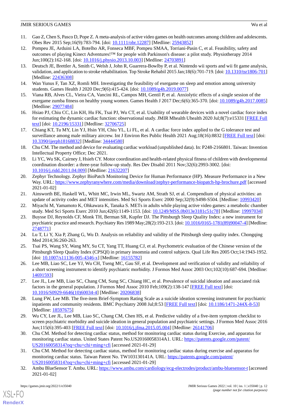- <span id="page-11-0"></span>11. Gao Z, Chen S, Pasco D, Pope Z. A meta-analysis of active video games on health outcomes among children and adolescents. Obes Rev 2015 Sep;16(9):783-794. [doi: [10.1111/obr.12287\]](http://dx.doi.org/10.1111/obr.12287) [Medline: [25943852\]](http://www.ncbi.nlm.nih.gov/entrez/query.fcgi?cmd=Retrieve&db=PubMed&list_uids=25943852&dopt=Abstract)
- <span id="page-11-1"></span>12. Pompeu JE, Arduini LA, Botelho AR, Fonseca MBF, Pompeu SMAA, Torriani-Pasin C, et al. Feasibility, safety and outcomes of playing Kinect Adventures!™ for people with Parkinson's disease: a pilot study. Physiotherapy 2014 Jun;100(2):162-168. [doi: [10.1016/j.physio.2013.10.003](http://dx.doi.org/10.1016/j.physio.2013.10.003)] [Medline: [24703891\]](http://www.ncbi.nlm.nih.gov/entrez/query.fcgi?cmd=Retrieve&db=PubMed&list_uids=24703891&dopt=Abstract)
- <span id="page-11-2"></span>13. Deutsch JE, Brettler A, Smith C, Welsh J, John R, Guarrera-Bowlby P, et al. Nintendo wii sports and wii fit game analysis, validation, and application to stroke rehabilitation. Top Stroke Rehabil 2015 Jan;18(6):701-719. [doi: [10.1310/tsr1806-701](http://dx.doi.org/10.1310/tsr1806-701)] [Medline: [22436308](http://www.ncbi.nlm.nih.gov/entrez/query.fcgi?cmd=Retrieve&db=PubMed&list_uids=22436308&dopt=Abstract)]
- <span id="page-11-4"></span><span id="page-11-3"></span>14. Wan Yunus F, Tan XZ, Romli MH. Investigating the feasibility of exergame on sleep and emotion among university students. Games Health J 2020 Dec;9(6):415-424. [doi: [10.1089/g4h.2019.0077\]](http://dx.doi.org/10.1089/g4h.2019.0077)
- <span id="page-11-5"></span>15. Viana RB, Alves CL, Vieira CA, Vancini RL, Campos MH, Gentil P, et al. Anxiolytic effects of a single session of the exergame zumba fitness on healthy young women. Games Health J 2017 Dec;6(6):365-370. [doi: [10.1089/g4h.2017.0085](http://dx.doi.org/10.1089/g4h.2017.0085)] [Medline: [29077484](http://www.ncbi.nlm.nih.gov/entrez/query.fcgi?cmd=Retrieve&db=PubMed&list_uids=29077484&dopt=Abstract)]
- <span id="page-11-6"></span>16. Hsiao PJ, Chiu CC, Lin KH, Hu FK, Tsai PJ, Wu CT, et al. Usability of wearable devices with a novel cardiac force index for estimating the dynamic cardiac function: observational study. JMIR Mhealth Uhealth 2020 Jul;8(7):e15331 [\[FREE Full](https://mhealth.jmir.org/2020/7/e15331/) [text](https://mhealth.jmir.org/2020/7/e15331/)] [doi: [10.2196/15331\]](http://dx.doi.org/10.2196/15331) [Medline: [32706725\]](http://www.ncbi.nlm.nih.gov/entrez/query.fcgi?cmd=Retrieve&db=PubMed&list_uids=32706725&dopt=Abstract)
- <span id="page-11-7"></span>17. Chiang KT, Tu MY, Lin YJ, Hsin YH, Chiu YL, Li FL, et al. A cardiac force index applied to the G tolerance test and surveillance among male military aircrew. Int J Environ Res Public Health 2021 Aug;18(16):8832 [[FREE Full text](https://www.mdpi.com/resolver?pii=ijerph18168832)] [doi: [10.3390/ijerph18168832](http://dx.doi.org/10.3390/ijerph18168832)] [Medline: [34444580\]](http://www.ncbi.nlm.nih.gov/entrez/query.fcgi?cmd=Retrieve&db=PubMed&list_uids=34444580&dopt=Abstract)
- <span id="page-11-8"></span>18. Chu CM. The method and device for evaluating cardiac workload (unpublished data). In: P248-2166801. Taiwan: Invention Intellectual Property Office; Dec 2021.
- <span id="page-11-9"></span>19. Li YC, Wu SK, Cairney J, Hsieh CY. Motor coordination and health-related physical fitness of children with developmental coordination disorder: a three-year follow-up study. Res Dev Disabil 2011 Nov;32(6):2993-3002. [doi: [10.1016/j.ridd.2011.04.009\]](http://dx.doi.org/10.1016/j.ridd.2011.04.009) [Medline: [21632207\]](http://www.ncbi.nlm.nih.gov/entrez/query.fcgi?cmd=Retrieve&db=PubMed&list_uids=21632207&dopt=Abstract)
- <span id="page-11-11"></span><span id="page-11-10"></span>20. Zephyr Technology. Zephyr BioPatch Monitoring Device for Human Performance (HP). Measure Performance in a New Way. URL:<https://www.zephyranywhere.com/media/download/zephyr-performance-biopatch-hp-brochure.pdf> [accessed 2021-01-02]
- <span id="page-11-12"></span>21. Ainsworth BE, Haskell WL, Whitt MC, Irwin ML, Swartz AM, Strath SJ, et al. Compendium of physical activities: an update of activity codes and MET intensities. Med Sci Sports Exerc 2000 Sep;32(9):S498-S504. [Medline: [10993420](http://www.ncbi.nlm.nih.gov/entrez/query.fcgi?cmd=Retrieve&db=PubMed&list_uids=10993420&dopt=Abstract)]
- <span id="page-11-13"></span>22. Miyachi M, Yamamoto K, Ohkawara K, Tanaka S. METs in adults while playing active video games: a metabolic chamber study. Med Sci Sports Exerc 2010 Jun;42(6):1149-1153. [doi: [10.1249/MSS.0b013e3181c51c78\]](http://dx.doi.org/10.1249/MSS.0b013e3181c51c78) [Medline: [19997034\]](http://www.ncbi.nlm.nih.gov/entrez/query.fcgi?cmd=Retrieve&db=PubMed&list_uids=19997034&dopt=Abstract)
- <span id="page-11-14"></span>23. Buysse DJ, Reynolds CF, Monk TH, Berman SR, Kupfer DJ. The Pittsburgh Sleep Quality Index: a new instrument for psychiatric practice and research. Psychiatry Res 1989 May;28(2):193-213. [doi: [10.1016/0165-1781\(89\)90047-4\]](http://dx.doi.org/10.1016/0165-1781(89)90047-4) [Medline: [2748771\]](http://www.ncbi.nlm.nih.gov/entrez/query.fcgi?cmd=Retrieve&db=PubMed&list_uids=2748771&dopt=Abstract)
- <span id="page-11-15"></span>24. Lu T, Li Y, Xia P, Zhang G, Wu D. Analysis on reliability and validity of the Pittsburgh sleep quality index. Chongqing Med 2014;36:260-263.
- <span id="page-11-16"></span>25. Tsai PS, Wang SY, Wang MY, Su CT, Yang TT, Huang CJ, et al. Psychometric evaluation of the Chinese version of the Pittsburgh Sleep Quality Index (CPSQI) in primary insomnia and control subjects. Qual Life Res 2005 Oct;14:1943-1952. [doi: [10.1007/s11136-005-4346-x](http://dx.doi.org/10.1007/s11136-005-4346-x)] [Medline: [16155782\]](http://www.ncbi.nlm.nih.gov/entrez/query.fcgi?cmd=Retrieve&db=PubMed&list_uids=16155782&dopt=Abstract)
- <span id="page-11-17"></span>26. Lee MB, Liao SC, Lee YJ, Wu CH, Tseng MC, Gau SF, et al. Development and verification of validity and reliability of a short screening instrument to identify psychiatric morbidity. J Formos Med Assoc 2003 Oct;102(10):687-694. [Medline: [14691593](http://www.ncbi.nlm.nih.gov/entrez/query.fcgi?cmd=Retrieve&db=PubMed&list_uids=14691593&dopt=Abstract)]
- <span id="page-11-18"></span>27. Lee JL, Lee MB, Liao SC, Chang CM, Sung SC, Chiang HC, et al. Prevalence of suicidal ideation and associated risk factors in the general population. J Formos Med Assoc 2010 Feb;109(2):138-147 [[FREE Full text](https://linkinghub.elsevier.com/retrieve/pii/S0929-6646(10)60034-4)] [doi: [10.1016/S0929-6646\(10\)60034-4\]](http://dx.doi.org/10.1016/S0929-6646(10)60034-4) [Medline: [20206838](http://www.ncbi.nlm.nih.gov/entrez/query.fcgi?cmd=Retrieve&db=PubMed&list_uids=20206838&dopt=Abstract)]
- <span id="page-11-19"></span>28. Lung FW, Lee MB. The five-item Brief-Symptom Rating Scale as a suicide ideation screening instrument for psychiatric inpatients and community residents. BMC Psychiatry 2008 Jul;8:53 [[FREE Full text\]](https://bmcpsychiatry.biomedcentral.com/articles/10.1186/1471-244X-8-53) [doi: [10.1186/1471-244X-8-53\]](http://dx.doi.org/10.1186/1471-244X-8-53) [Medline: [18597675](http://www.ncbi.nlm.nih.gov/entrez/query.fcgi?cmd=Retrieve&db=PubMed&list_uids=18597675&dopt=Abstract)]
- <span id="page-11-20"></span>29. Wu CY, Lee JL, Lee MB, Liao SC, Chang CM, Chen HS, et al. Predictive validity of a five-item symptom checklist to screen psychiatric morbidity and suicide ideation in general population and psychiatric settings. J Formos Med Assoc 2016 Jun;115(6):395-403 [[FREE Full text](https://linkinghub.elsevier.com/retrieve/pii/S0929-6646(15)00174-6)] [doi: [10.1016/j.jfma.2015.05.004\]](http://dx.doi.org/10.1016/j.jfma.2015.05.004) [Medline: [26141706\]](http://www.ncbi.nlm.nih.gov/entrez/query.fcgi?cmd=Retrieve&db=PubMed&list_uids=26141706&dopt=Abstract)
- <span id="page-11-21"></span>30. Chu CM. Method for detecting cardiac status, method for monitoring cardiac status during Exercise, and apparatus for monitoring cardiac status. United States Patent No.US20160058314A1. URL: [https://patents.google.com/patent/](https://patents.google.com/patent/US20160058314?oq=chu+chi+ming+cfi) [US20160058314?oq=chu+chi+ming+cfi](https://patents.google.com/patent/US20160058314?oq=chu+chi+ming+cfi) [accessed 2021-01-29]
- 31. Chu CM. Method for detecting cardiac status, method for monitoring cardiac status during exercise and apparatus for monitoring cardiac status. Taiwan Patent No. TW103130141A. URL: [https://patents.google.com/patent/](https://patents.google.com/patent/US20160058314?oq=chu+chi+ming+cfi) [US20160058314?oq=chu+chi+ming+cfi](https://patents.google.com/patent/US20160058314?oq=chu+chi+ming+cfi) [accessed 2021-01-29]
- 32. Ambu BlueSensor T. Ambu. URL:<https://www.ambu.com/cardiology/ecg-electrodes/product/ambu-bluesensor-t> [accessed 2021-01-02]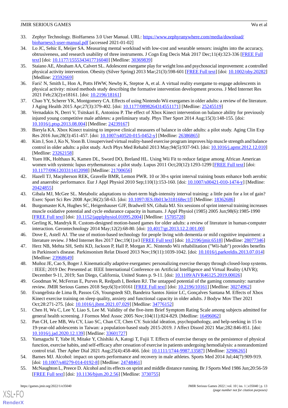- <span id="page-12-0"></span>33. Zephyr Technology. BioHarness 3.0 User Manual. URL: [https://www.zephyranywhere.com/media/download/](https://www.zephyranywhere.com/media/download/bioharness3-user-manual.pdf) [bioharness3-user-manual.pdf](https://www.zephyranywhere.com/media/download/bioharness3-user-manual.pdf) [accessed 2021-01-02]
- <span id="page-12-1"></span>34. Lo JC, Sehic E, Meijer SA. Measuring mental workload with low-cost and wearable sensors: insights into the accuracy, obtrusiveness, and research usability of three instruments. J Cogn Eng Decis Mak 2017 Dec;11(4):323-336 [\[FREE Full](https://journals.sagepub.com/doi/10.1177/1555343417716040?url_ver=Z39.88-2003&rfr_id=ori:rid:crossref.org&rfr_dat=cr_pub%3dpubmed) [text](https://journals.sagepub.com/doi/10.1177/1555343417716040?url_ver=Z39.88-2003&rfr_id=ori:rid:crossref.org&rfr_dat=cr_pub%3dpubmed)] [doi: [10.1177/1555343417716040\]](http://dx.doi.org/10.1177/1555343417716040) [Medline: [30369839\]](http://www.ncbi.nlm.nih.gov/entrez/query.fcgi?cmd=Retrieve&db=PubMed&list_uids=30369839&dopt=Abstract)
- <span id="page-12-2"></span>35. Staiano AE, Abraham AA, Calvert SL. Adolescent exergame play for weight loss and psychosocial improvement: a controlled physical activity intervention. Obesity (Silver Spring) 2013 Mar;21(3):598-601 [\[FREE Full text\]](https://doi.org/10.1002/oby.20282) [doi: [10.1002/oby.20282](http://dx.doi.org/10.1002/oby.20282)] [Medline: [23592669](http://www.ncbi.nlm.nih.gov/entrez/query.fcgi?cmd=Retrieve&db=PubMed&list_uids=23592669&dopt=Abstract)]
- <span id="page-12-4"></span><span id="page-12-3"></span>36. Farič N, Smith L, Hon A, Potts HWW, Newby K, Steptoe A, et al. A virtual reality exergame to engage adolescents in physical activity: mixed methods study describing the formative intervention development process. J Med Internet Res 2021 Feb; 23(2): e18161. [doi: [10.2196/18161](http://dx.doi.org/10.2196/18161)]
- <span id="page-12-5"></span>37. Chao YY, Scherer YK, Montgomery CA. Effects of using Nintendo Wii exergames in older adults: a review of the literature. J Aging Health 2015 Apr;27(3):379-402. [doi: [10.1177/0898264314551171\]](http://dx.doi.org/10.1177/0898264314551171) [Medline: [25245519\]](http://www.ncbi.nlm.nih.gov/entrez/query.fcgi?cmd=Retrieve&db=PubMed&list_uids=25245519&dopt=Abstract)
- <span id="page-12-6"></span>38. Vernadakis N, Derri V, Tsitskari E, Antoniou P. The effect of Xbox Kinect intervention on balance ability for previously injured young competitive male athletes: a preliminary study. Phys Ther Sport 2014 Aug;15(3):148-155. [doi: [10.1016/j.ptsp.2013.08.004](http://dx.doi.org/10.1016/j.ptsp.2013.08.004)] [Medline: [24239167](http://www.ncbi.nlm.nih.gov/entrez/query.fcgi?cmd=Retrieve&db=PubMed&list_uids=24239167&dopt=Abstract)]
- <span id="page-12-7"></span>39. Bieryla KA. Xbox Kinect training to improve clinical measures of balance in older adults: a pilot study. Aging Clin Exp Res 2016 Jun;28(3):451-457. [doi: [10.1007/s40520-015-0452-y\]](http://dx.doi.org/10.1007/s40520-015-0452-y) [Medline: [26386865](http://www.ncbi.nlm.nih.gov/entrez/query.fcgi?cmd=Retrieve&db=PubMed&list_uids=26386865&dopt=Abstract)]
- <span id="page-12-8"></span>40. Kim J, Son J, Ko N, Yoon B. Unsupervised virtual reality-based exercise program improves hip muscle strength and balance control in older adults: a pilot study. Arch Phys Med Rehabil 2013 May;94(5):937-943. [doi: [10.1016/j.apmr.2012.12.010](http://dx.doi.org/10.1016/j.apmr.2012.12.010)] [Medline: [23262158](http://www.ncbi.nlm.nih.gov/entrez/query.fcgi?cmd=Retrieve&db=PubMed&list_uids=23262158&dopt=Abstract)]
- <span id="page-12-9"></span>41. Yuen HK, Holthaus K, Kamen DL, Sword DO, Breland HL. Using Wii Fit to reduce fatigue among African American women with systemic lupus erythematosus: a pilot study. Lupus 2011 Oct;20(12):1293-1299 [[FREE Full text](http://europepmc.org/abstract/MED/21700656)] [doi: [10.1177/0961203311412098\]](http://dx.doi.org/10.1177/0961203311412098) [Medline: [21700656\]](http://www.ncbi.nlm.nih.gov/entrez/query.fcgi?cmd=Retrieve&db=PubMed&list_uids=21700656&dopt=Abstract)
- <span id="page-12-10"></span>42. Hazell TJ, Macpherson REK, Gravelle BMR, Lemon PWR. 10 or 30-s sprint interval training bouts enhance both aerobic and anaerobic performance. Eur J Appl Physiol 2010 Sep;110(1):153-160. [doi: [10.1007/s00421-010-1474-y](http://dx.doi.org/10.1007/s00421-010-1474-y)] [Medline: [20424855](http://www.ncbi.nlm.nih.gov/entrez/query.fcgi?cmd=Retrieve&db=PubMed&list_uids=20424855&dopt=Abstract)]
- <span id="page-12-11"></span>43. Gibala MJ, McGee SL. Metabolic adaptations to short-term high-intensity interval training: a little pain for a lot of gain? Exerc Sport Sci Rev 2008 Apr;36(2):58-63. [doi: [10.1097/JES.0b013e318168ec1f\]](http://dx.doi.org/10.1097/JES.0b013e318168ec1f) [Medline: [18362686\]](http://www.ncbi.nlm.nih.gov/entrez/query.fcgi?cmd=Retrieve&db=PubMed&list_uids=18362686&dopt=Abstract)
- <span id="page-12-13"></span><span id="page-12-12"></span>44. Burgomaster KA, Hughes SC, Heigenhauser GJF, Bradwell SN, Gibala MJ. Six sessions of sprint interval training increases muscle oxidative potential and cycle endurance capacity in humans. J Appl Physiol (1985) 2005 Jun;98(6):1985-1990 [[FREE Full text](https://journals.physiology.org/doi/10.1152/japplphysiol.01095.2004?url_ver=Z39.88-2003&rfr_id=ori:rid:crossref.org&rfr_dat=cr_pub%3dpubmed)] [doi: [10.1152/japplphysiol.01095.2004](http://dx.doi.org/10.1152/japplphysiol.01095.2004)] [Medline: [15705728\]](http://www.ncbi.nlm.nih.gov/entrez/query.fcgi?cmd=Retrieve&db=PubMed&list_uids=15705728&dopt=Abstract)
- <span id="page-12-14"></span>45. Gerling K, Mandryk R. Custom-designed motion-based games for older adults: a review of literature in human-computer interaction. Gerontechnology 2014 May;12(2):68-80. [doi: [10.4017/gt.2013.12.2.001.00\]](http://dx.doi.org/10.4017/gt.2013.12.2.001.00)
- <span id="page-12-15"></span>46. Dove E, Astell AJ. The use of motion-based technology for people living with dementia or mild cognitive impairment: a literature review. J Med Internet Res 2017 Dec;19(1):e3 [[FREE Full text](http://www.jmir.org/2017/1/e3/)] [doi: [10.2196/jmir.6518](http://dx.doi.org/10.2196/jmir.6518)] [Medline: [28077346\]](http://www.ncbi.nlm.nih.gov/entrez/query.fcgi?cmd=Retrieve&db=PubMed&list_uids=28077346&dopt=Abstract)
- <span id="page-12-16"></span>47. Herz NB, Mehta SH, Sethi KD, Jackson P, Hall P, Morgan JC. Nintendo Wii rehabilitation ("Wii-hab") provides benefits in Parkinson's disease. Parkinsonism Relat Disord 2013 Nov;19(11):1039-1042. [doi: [10.1016/j.parkreldis.2013.07.014](http://dx.doi.org/10.1016/j.parkreldis.2013.07.014)] [Medline: [23968649](http://www.ncbi.nlm.nih.gov/entrez/query.fcgi?cmd=Retrieve&db=PubMed&list_uids=23968649&dopt=Abstract)]
- <span id="page-12-17"></span>48. Muñoz JE, Cao S, Boger J. Kinematically adaptive exergames: personalizing exercise therapy through closed-loop systems. : IEEE; 2019 Dec Presented at: IEEE International Conference on Artificial Intelligence and Virtual Reality (AIVR); December 9-11, 2019; San Diego, California, United States p. 9-11. [doi: [10.1109/AIVR46125.2019.00026\]](http://dx.doi.org/10.1109/AIVR46125.2019.00026)
- <span id="page-12-18"></span>49. Goodman W, McFerran E, Purves R, Redpath I, Beeken RJ. The untapped potential of the gaming community: narrative review. JMIR Serious Games 2018 Sep;6(3):e10161 [[FREE Full text](http://games.jmir.org/2018/3/e10161/)] [doi: [10.2196/10161](http://dx.doi.org/10.2196/10161)] [Medline: [30274962](http://www.ncbi.nlm.nih.gov/entrez/query.fcgi?cmd=Retrieve&db=PubMed&list_uids=30274962&dopt=Abstract)]
- <span id="page-12-19"></span>50. Evangelista de Lima B, Passos GS, Youngstedt SD, Bandeira Santos Júnior LC, Gonçalves Santana M. Effects of Xbox Kinect exercise training on sleep quality, anxiety and functional capacity in older adults. J Bodyw Mov Ther 2021 Oct;28:271-275. [doi: [10.1016/j.jbmt.2021.07.029\]](http://dx.doi.org/10.1016/j.jbmt.2021.07.029) [Medline: [34776152](http://www.ncbi.nlm.nih.gov/entrez/query.fcgi?cmd=Retrieve&db=PubMed&list_uids=34776152&dopt=Abstract)]
- <span id="page-12-20"></span>51. Chen H, Wu C, Lee Y, Liao S, Lee M. Validity of the five-item Brief Symptom Rating Scale among subjects admitted for general health screening. J Formos Med Assoc 2005 Nov;104(11):824-829. [Medline: [16496062\]](http://www.ncbi.nlm.nih.gov/entrez/query.fcgi?cmd=Retrieve&db=PubMed&list_uids=16496062&dopt=Abstract)
- <span id="page-12-21"></span>52. Pan CH, Lee MB, Wu CY, Liao SC, Chan CT, Chen CY. Suicidal ideation, psychopathology, and help-seeking in 15 to 19-year-old adolescents in Taiwan: a population-based study 2015-2019. J Affect Disord 2021 Mar;282:846-851. [doi: [10.1016/j.jad.2020.12.139\]](http://dx.doi.org/10.1016/j.jad.2020.12.139) [Medline: [33601727\]](http://www.ncbi.nlm.nih.gov/entrez/query.fcgi?cmd=Retrieve&db=PubMed&list_uids=33601727&dopt=Abstract)
- <span id="page-12-22"></span>53. Yamaguchi T, Yabe H, Mitake Y, Chishiki A, Katogi T, Fujii T. Effects of exercise therapy on the persistence of physical function, exercise habits, and self-efficacy after cessation of exercise in patients undergoing hemodialysis: a nonrandomized control trial. Ther Apher Dial 2021 Aug;25(4):458-466. [doi: [10.1111/1744-9987.13587\]](http://dx.doi.org/10.1111/1744-9987.13587) [Medline: [32986265\]](http://www.ncbi.nlm.nih.gov/entrez/query.fcgi?cmd=Retrieve&db=PubMed&list_uids=32986265&dopt=Abstract)
- 54. Barnes MJ. Alcohol: impact on sports performance and recovery in male athletes. Sports Med 2014 Jul;44(7):909-919. [doi: [10.1007/s40279-014-0192-8](http://dx.doi.org/10.1007/s40279-014-0192-8)] [Medline: [24748461\]](http://www.ncbi.nlm.nih.gov/entrez/query.fcgi?cmd=Retrieve&db=PubMed&list_uids=24748461&dopt=Abstract)
- 55. McNaughton L, Preece D. Alcohol and its effects on sprint and middle distance running. Br J Sports Med 1986 Jun;20:56-59 [[FREE Full text](https://bjsm.bmj.com/lookup/pmidlookup?view=long&pmid=3730755)] [doi: [10.1136/bjsm.20.2.56\]](http://dx.doi.org/10.1136/bjsm.20.2.56) [Medline: [3730755\]](http://www.ncbi.nlm.nih.gov/entrez/query.fcgi?cmd=Retrieve&db=PubMed&list_uids=3730755&dopt=Abstract)